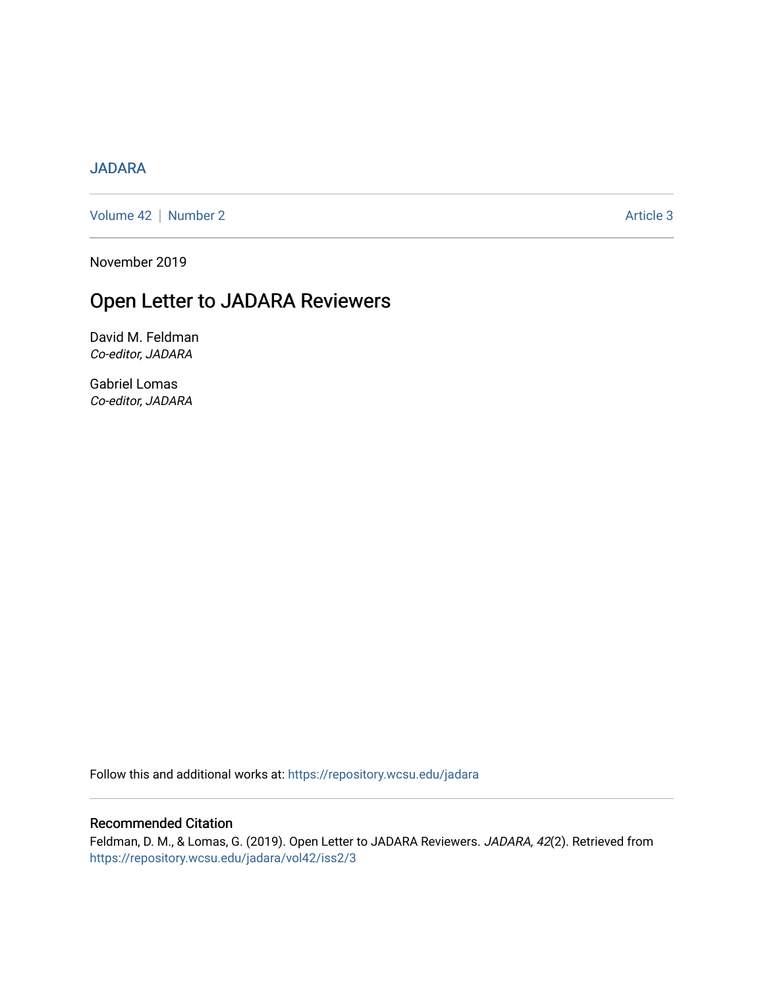### [JADARA](https://repository.wcsu.edu/jadara)

[Volume 42](https://repository.wcsu.edu/jadara/vol42) | [Number 2](https://repository.wcsu.edu/jadara/vol42/iss2) Article 3

November 2019

# Open Letter to JADARA Reviewers

David M. Feldman Co-editor, JADARA

Gabriel Lomas Co-editor, JADARA

Follow this and additional works at: [https://repository.wcsu.edu/jadara](https://repository.wcsu.edu/jadara?utm_source=repository.wcsu.edu%2Fjadara%2Fvol42%2Fiss2%2F3&utm_medium=PDF&utm_campaign=PDFCoverPages)

#### Recommended Citation

Feldman, D. M., & Lomas, G. (2019). Open Letter to JADARA Reviewers. JADARA, 42(2). Retrieved from [https://repository.wcsu.edu/jadara/vol42/iss2/3](https://repository.wcsu.edu/jadara/vol42/iss2/3?utm_source=repository.wcsu.edu%2Fjadara%2Fvol42%2Fiss2%2F3&utm_medium=PDF&utm_campaign=PDFCoverPages)